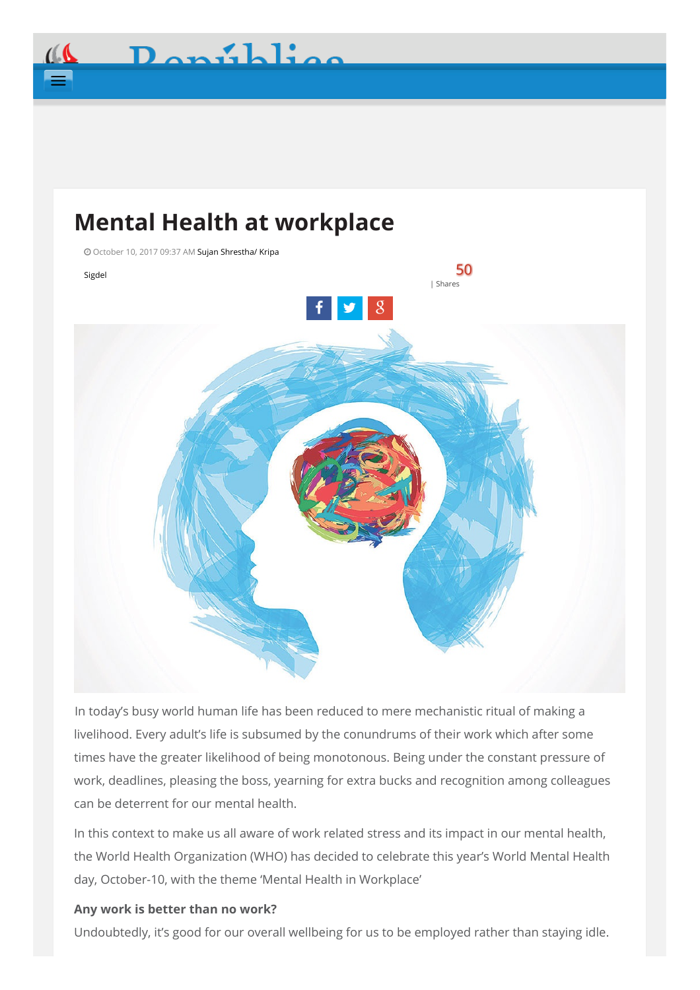# **Mental Health at workplace**



In today's busy world human life has been reduced to mere mechanistic ritual of making a livelihood. Every adult's life is subsumed by the conundrums of their work which after some times have the greater likelihood of being monotonous. Being under the constant pressure of work, deadlines, pleasing the boss, yearning for extra bucks and recognition among colleagues can be deterrent for our mental health.

In this context to make us all aware of work related stress and its impact in our mental health, the World Health Organization (WHO) has decided to celebrate this year's World Mental Health day, October-10, with the theme 'Mental Health in Workplace'

# **Any work is better than no work?**

Undoubtedly, it's good for our overall wellbeing for us to be employed rather than staying idle.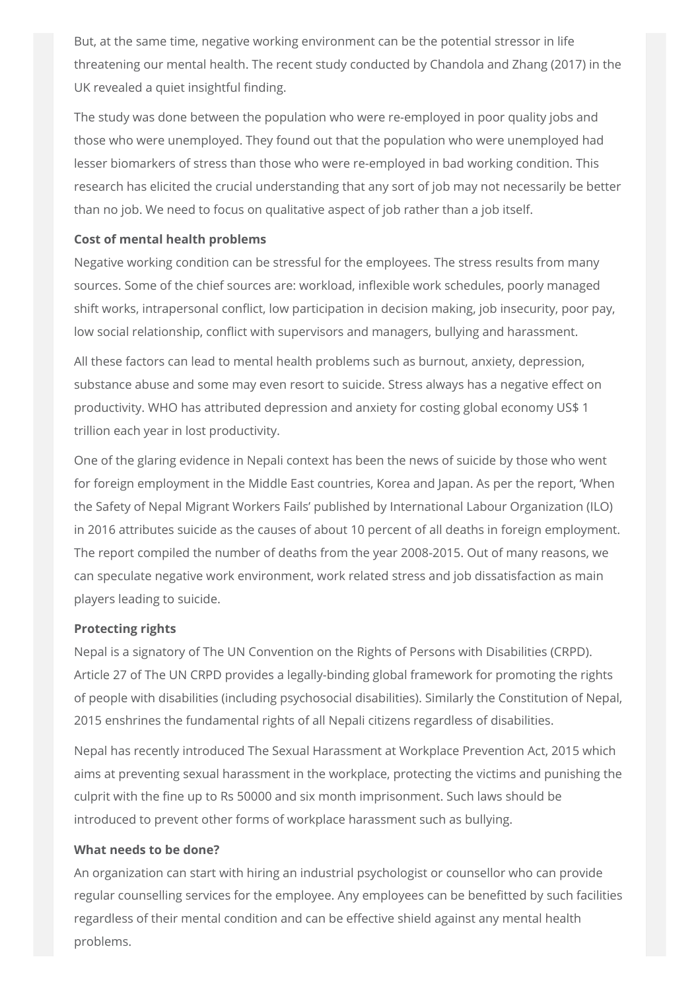But, at the same time, negative working environment can be the potential stressor in life threatening our mental health. The recent study conducted by Chandola and Zhang (2017) in the UK revealed a quiet insightful finding.

The study was done between the population who were re-employed in poor quality jobs and those who were unemployed. They found out that the population who were unemployed had lesser biomarkers of stress than those who were re-employed in bad working condition. This research has elicited the crucial understanding that any sort of job may not necessarily be better than no job. We need to focus on qualitative aspect of job rather than a job itself.

# **Cost of mental health problems**

Negative working condition can be stressful for the employees. The stress results from many sources. Some of the chief sources are: workload, inflexible work schedules, poorly managed shift works, intrapersonal conflict, low participation in decision making, job insecurity, poor pay, low social relationship, conflict with supervisors and managers, bullying and harassment.

All these factors can lead to mental health problems such as burnout, anxiety, depression, substance abuse and some may even resort to suicide. Stress always has a negative effect on productivity. WHO has attributed depression and anxiety for costing global economy US\$ 1 trillion each year in lost productivity.

One of the glaring evidence in Nepali context has been the news of suicide by those who went for foreign employment in the Middle East countries, Korea and Japan. As per the report, 'When the Safety of Nepal Migrant Workers Fails' published by International Labour Organization (ILO) in 2016 attributes suicide as the causes of about 10 percent of all deaths in foreign employment. The report compiled the number of deaths from the year 2008-2015. Out of many reasons, we can speculate negative work environment, work related stress and job dissatisfaction as main players leading to suicide.

# **Protecting rights**

Nepal is a signatory of The UN Convention on the Rights of Persons with Disabilities (CRPD). Article 27 of The UN CRPD provides a legally-binding global framework for promoting the rights of people with disabilities (including psychosocial disabilities). Similarly the Constitution of Nepal, 2015 enshrines the fundamental rights of all Nepali citizens regardless of disabilities.

Nepal has recently introduced The Sexual Harassment at Workplace Prevention Act, 2015 which aims at preventing sexual harassment in the workplace, protecting the victims and punishing the culprit with the fine up to Rs 50000 and six month imprisonment. Such laws should be introduced to prevent other forms of workplace harassment such as bullying.

## **What needs to be done?**

An organization can start with hiring an industrial psychologist or counsellor who can provide regular counselling services for the employee. Any employees can be benefitted by such facilities regardless of their mental condition and can be effective shield against any mental health problems.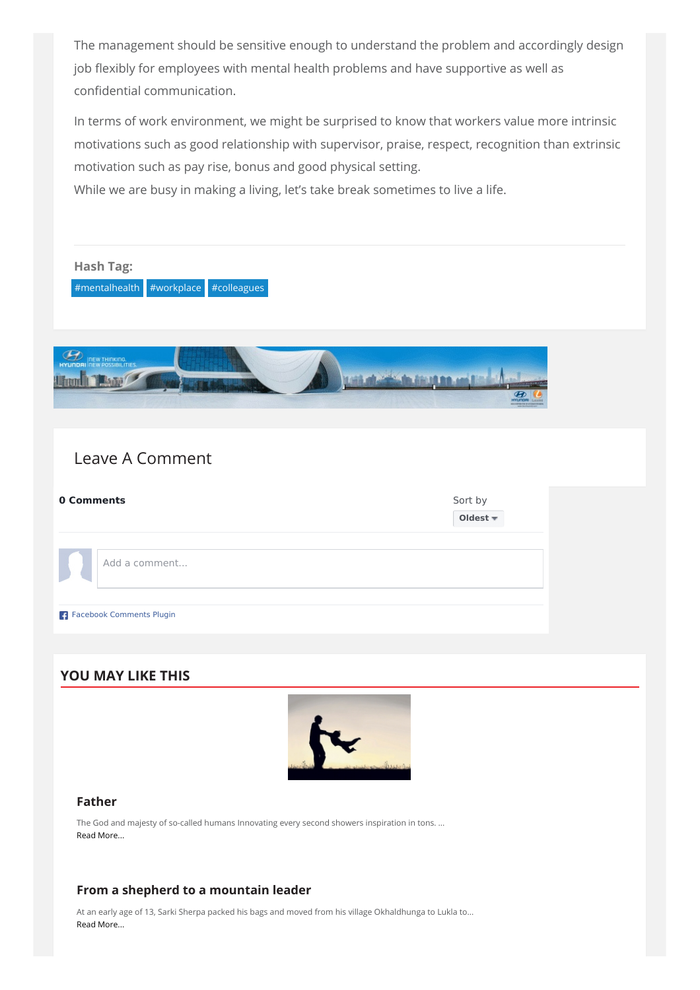The management should be sensitive enough to understand the problem and accordingly design job flexibly for employees with mental health problems and have supportive as well as confidential communication.

In terms of work environment, we might be surprised to know that workers value more intrinsic motivations such as good relationship with supervisor, praise, respect, recognition than extrinsic motivation such as pay rise, bonus and good physical setting.

While we are busy in making a living, let's take break sometimes to live a life.



#### **[Father](http://www.myrepublica.com/news/28819/)**

The God and majesty of so-called humans Innovating every second showers inspiration in tons. ... Read [More...](http://www.myrepublica.com/news/28819/)

#### **From a shepherd to a [mountain](http://www.myrepublica.com/news/28817/) leader**

At an early age of 13, Sarki Sherpa packed his bags and moved from his village Okhaldhunga to Lukla to... Read [More...](http://www.myrepublica.com/news/28817/)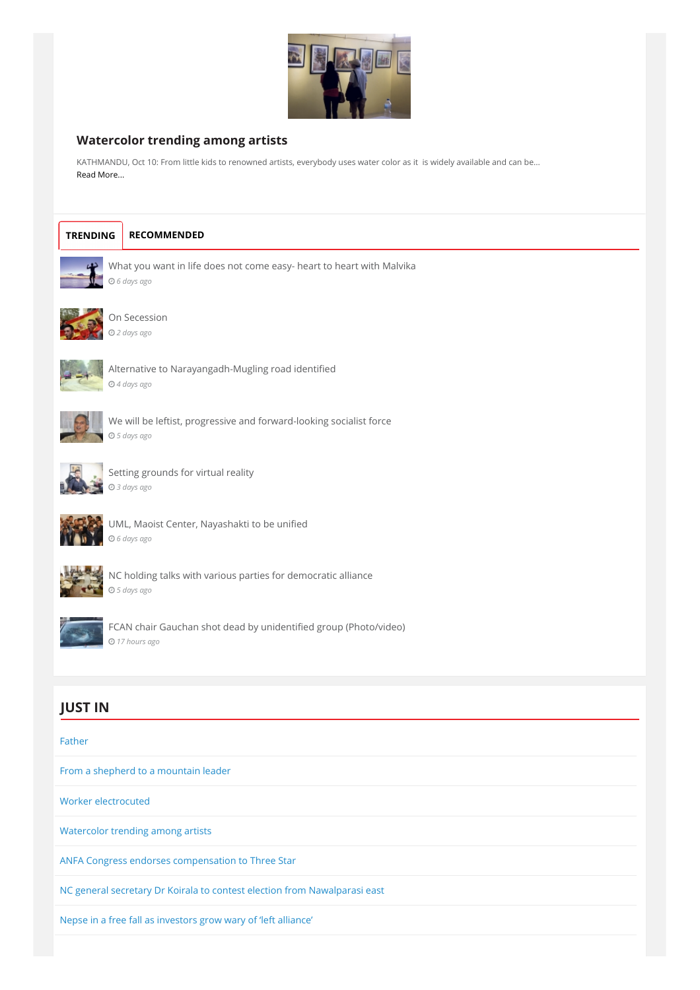

### **[Watercolor](http://www.myrepublica.com/news/28815/) trending among artists**

KATHMANDU, Oct 10: From little kids to renowned artists, everybody uses water color as it is widely available and can be... Read [More...](http://www.myrepublica.com/news/28815/)



#### **[TRENDING](#page-3-0) RECOMMENDED**

<span id="page-3-0"></span>

What you want in life does not come easy- heart to heart with [Malvika](http://www.myrepublica.com/news/28469/) *6 days ago*



#### On [Secession](http://www.myrepublica.com/news/28670/) *2 days ago*



Alternative to [Narayangadh-Mugling](http://www.myrepublica.com/news/28544/) road identified *4 days ago*



We will be leftist, progressive and [forward-looking](http://www.myrepublica.com/news/28496/) socialist force *5 days ago*



Setting [grounds](http://www.myrepublica.com/news/28583/) for virtual reality *3 days ago*



UML, Maoist Center, [Nayashakti](http://www.myrepublica.com/news/28442/) to be unified *6 days ago*



NC holding talks with various parties for [democratic](http://www.myrepublica.com/news/28488/) alliance *5 days ago*



FCAN chair Gauchan shot dead by unidentified group [\(Photo/video\)](http://www.myrepublica.com/news/28782/) *17 hours ago*

# **JUST IN**

#### [Father](http://www.myrepublica.com/news/28819/)

From a shepherd to a [mountain](http://www.myrepublica.com/news/28817/) leader

Worker [electrocuted](http://www.myrepublica.com/news/28816/)

[Watercolor](http://www.myrepublica.com/news/28815/) trending among artists

ANFA Congress endorses [compensation](http://www.myrepublica.com/news/28814/) to Three Star

NC general secretary Dr Koirala to contest election from [Nawalparasi](http://www.myrepublica.com/news/28813/) east

Nepse in a free fall as [investors](http://www.myrepublica.com/news/28812/) grow wary of 'left alliance'